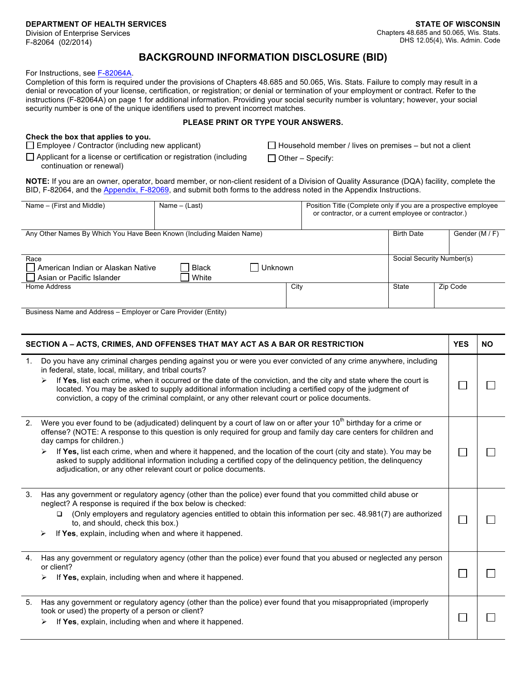Division of Enterprise Services F-82064 (02/2014)

## **BACKGROUND INFORMATION DISCLOSURE (BID)**

For Instructions, see F-82064A.

Completion of this form is required under the provisions of Chapters 48.685 and 50.065, Wis. Stats. Failure to comply may result in a denial or revocation of your license, certification, or registration; or denial or termination of your employment or contract. Refer to the instructions (F-82064A) on page 1 for additional information. Providing your social security number is voluntary; however, your social security number is one of the unique identifiers used to prevent incorrect matches.

## **PLEASE PRINT OR TYPE YOUR ANSWERS.**

## **Check the box that applies to you.**

Employee / Contractor (including new applicant)

□ Applicant for a license or certification or registration (including continuation or renewal)

 $\Box$  Household member / lives on premises – but not a client

 $\Box$  Other – Specify:

**NOTE:** If you are an owner, operator, board member, or non-client resident of a Division of Quality Assurance (DQA) facility, complete the BID, F-82064, and the Appendix, F-82069, and submit both forms to the address noted in the Appendix Instructions.

| Name – (First and Middle)                                              | Name $-$ (Last)                  |      | Position Title (Complete only if you are a prospective employee<br>or contractor, or a current employee or contractor.) |                   |                |  |
|------------------------------------------------------------------------|----------------------------------|------|-------------------------------------------------------------------------------------------------------------------------|-------------------|----------------|--|
| Any Other Names By Which You Have Been Known (Including Maiden Name)   |                                  |      |                                                                                                                         | <b>Birth Date</b> | Gender (M / F) |  |
|                                                                        |                                  |      |                                                                                                                         |                   |                |  |
| Race<br>American Indian or Alaskan Native<br>Asian or Pacific Islander | <b>Black</b><br>Unknown<br>White |      | Social Security Number(s)                                                                                               |                   |                |  |
| Home Address                                                           |                                  | City |                                                                                                                         | State             | Zip Code       |  |
| <b>Puciness Name and Address Employer or Care Provider (Entity)</b>    |                                  |      |                                                                                                                         |                   |                |  |

Business Name and Address – Employer or Care Provider (Entity)

| SECTION A - ACTS, CRIMES, AND OFFENSES THAT MAY ACT AS A BAR OR RESTRICTION |                                                                                                                                                                                                                                                                                                                                                                                                                                                                                                                                                                                               | <b>YES</b> | <b>NO</b> |
|-----------------------------------------------------------------------------|-----------------------------------------------------------------------------------------------------------------------------------------------------------------------------------------------------------------------------------------------------------------------------------------------------------------------------------------------------------------------------------------------------------------------------------------------------------------------------------------------------------------------------------------------------------------------------------------------|------------|-----------|
| 1.                                                                          | Do you have any criminal charges pending against you or were you ever convicted of any crime anywhere, including<br>in federal, state, local, military, and tribal courts?<br>If Yes, list each crime, when it occurred or the date of the conviction, and the city and state where the court is<br>located. You may be asked to supply additional information including a certified copy of the judgment of<br>conviction, a copy of the criminal complaint, or any other relevant court or police documents.                                                                                |            |           |
| 2.                                                                          | Were you ever found to be (adjudicated) delinquent by a court of law on or after your 10 <sup>th</sup> birthday for a crime or<br>offense? (NOTE: A response to this question is only required for group and family day care centers for children and<br>day camps for children.)<br>If Yes, list each crime, when and where it happened, and the location of the court (city and state). You may be<br>➤<br>asked to supply additional information including a certified copy of the delinquency petition, the delinquency<br>adjudication, or any other relevant court or police documents. |            |           |
| 3.                                                                          | Has any government or regulatory agency (other than the police) ever found that you committed child abuse or<br>neglect? A response is required if the box below is checked:<br>(Only employers and regulatory agencies entitled to obtain this information per sec. 48.981(7) are authorized<br>□<br>to, and should, check this box.)<br>If Yes, explain, including when and where it happened.                                                                                                                                                                                              |            |           |
| 4.                                                                          | Has any government or regulatory agency (other than the police) ever found that you abused or neglected any person<br>or client?<br>If Yes, explain, including when and where it happened.<br>➤                                                                                                                                                                                                                                                                                                                                                                                               |            |           |
| 5.                                                                          | Has any government or regulatory agency (other than the police) ever found that you misappropriated (improperly<br>took or used) the property of a person or client?<br>If Yes, explain, including when and where it happened.<br>➤                                                                                                                                                                                                                                                                                                                                                           |            |           |